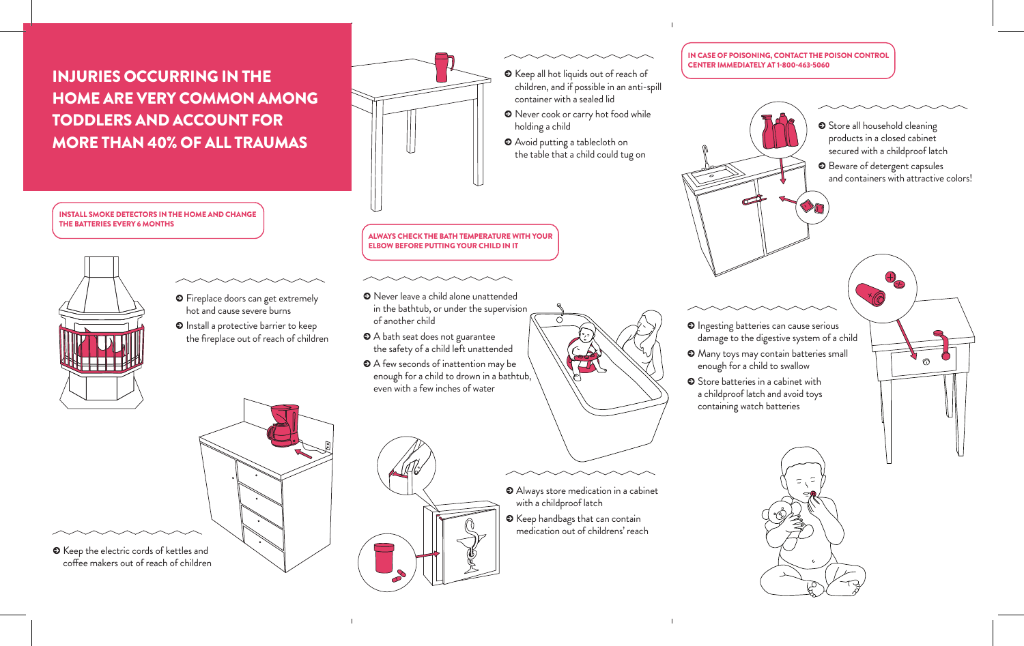## INJURIES OCCURRING IN THE HOME ARE VERY COMMON AMONG TODDLERS AND ACCOUNT FOR MORE THAN 40% OF ALL TRAUMAS

INSTALL SMOKE DETECTORS IN THE HOME AND CHANGE



 $\odot$  Keep the electric cords of kettles and coffee makers out of reach of children

- **O** Fireplace doors can get extremely hot and cause severe burns
- $\odot$  Install a protective barrier to keep the fireplace out of reach of children

ALWAYS CHECK THE BATH TEMPERATURE WITH YOUR ELBOW BEFORE PUTTING YOUR CHILD IN IT

- $\odot$  Never leave a child alone unattended in the bathtub, or under the supervision of another child
- $\bullet$  A bath seat does not guarantee the safety of a child left unattended
- $\bullet$  A few seconds of inattention may be enough for a child to drown in a bathtub, even with a few inches of water

IN CASE OF POISONING, CONTACT THE POISON CONTROL CENTER IMMEDIATELY AT 1-800-463-5060



with a childproof latch

 $\tilde{\Omega}$ 

container with a sealed lid

holding a child